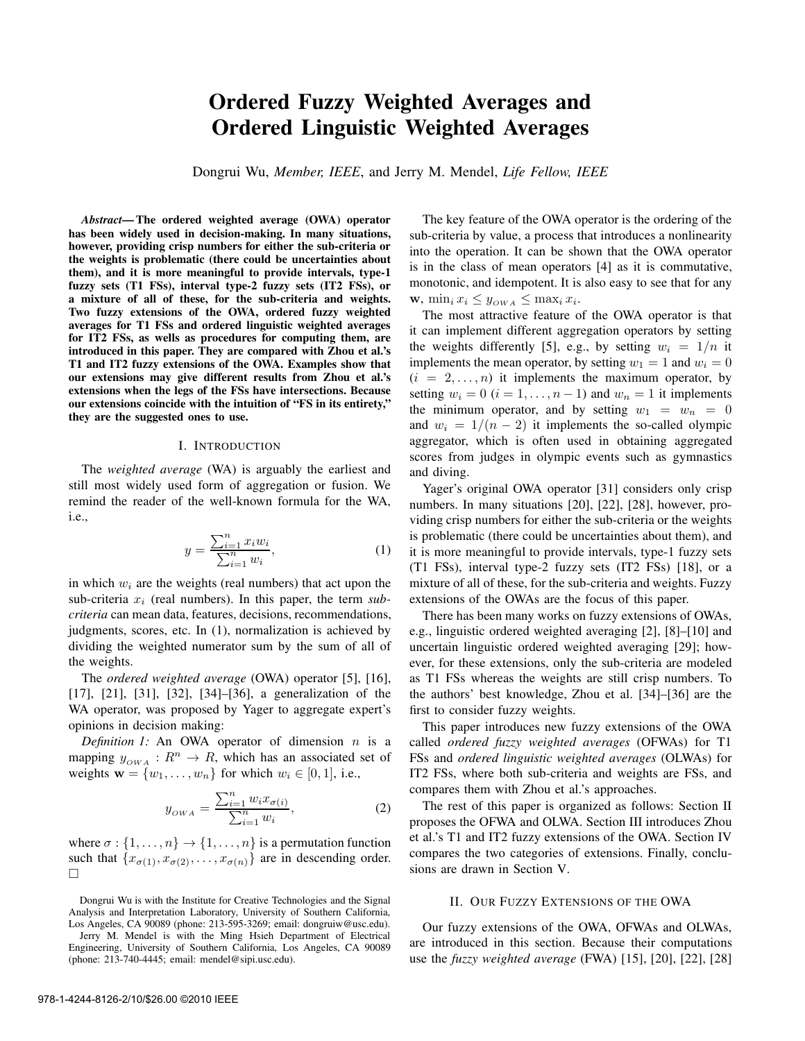# Ordered Fuzzy Weighted Averages and Ordered Linguistic Weighted Averages

Dongrui Wu, *Member, IEEE*, and Jerry M. Mendel, *Life Fellow, IEEE*

*Abstract*— The ordered weighted average (OWA) operator has been widely used in decision-making. In many situations, however, providing crisp numbers for either the sub-criteria or the weights is problematic (there could be uncertainties about them), and it is more meaningful to provide intervals, type-1 fuzzy sets (T1 FSs), interval type-2 fuzzy sets (IT2 FSs), or a mixture of all of these, for the sub-criteria and weights. Two fuzzy extensions of the OWA, ordered fuzzy weighted averages for T1 FSs and ordered linguistic weighted averages for IT2 FSs, as wells as procedures for computing them, are introduced in this paper. They are compared with Zhou et al.'s T1 and IT2 fuzzy extensions of the OWA. Examples show that our extensions may give different results from Zhou et al.'s extensions when the legs of the FSs have intersections. Because our extensions coincide with the intuition of "FS in its entirety," they are the suggested ones to use.

#### I. INTRODUCTION

The *weighted average* (WA) is arguably the earliest and still most widely used form of aggregation or fusion. We remind the reader of the well-known formula for the WA, i.e.,

$$
y = \frac{\sum_{i=1}^{n} x_i w_i}{\sum_{i=1}^{n} w_i},
$$
 (1)

in which  $w_i$  are the weights (real numbers) that act upon the sub-criteria  $x_i$  (real numbers). In this paper, the term  $sub$ *criteria* can mean data, features, decisions, recommendations, judgments, scores, etc. In (1), normalization is achieved by dividing the weighted numerator sum by the sum of all of the weights.

The *ordered weighted average* (OWA) operator [5], [16], [17], [21], [31], [32], [34]–[36], a generalization of the WA operator, was proposed by Yager to aggregate expert's opinions in decision making:

*Definition 1:* An OWA operator of dimension  $n$  is a mapping  $y_{OWA}: R^n \to R$ , which has an associated set of weights  $\mathbf{w} = \{w_1, \dots, w_n\}$  for which  $w_i \in [0, 1]$ , i.e.,

$$
y_{OWA} = \frac{\sum_{i=1}^{n} w_i x_{\sigma(i)}}{\sum_{i=1}^{n} w_i},
$$
 (2)

where  $\sigma$  :  $\{1, \ldots, n\} \rightarrow \{1, \ldots, n\}$  is a permutation function such that  $\{x_{\sigma(1)}, x_{\sigma(2)}, \ldots, x_{\sigma(n)}\}$  are in descending order.  $\Box$ 

Dongrui Wu is with the Institute for Creative Technologies and the Signal Analysis and Interpretation Laboratory, University of Southern California, Los Angeles, CA 90089 (phone: 213-595-3269; email: dongruiw@usc.edu).

Jerry M. Mendel is with the Ming Hsieh Department of Electrical Engineering, University of Southern California, Los Angeles, CA 90089 (phone: 213-740-4445; email: mendel@sipi.usc.edu).

The key feature of the OWA operator is the ordering of the sub-criteria by value, a process that introduces a nonlinearity into the operation. It can be shown that the OWA operator is in the class of mean operators [4] as it is commutative, monotonic, and idempotent. It is also easy to see that for any  $\mathbf{w}, \min_i x_i \leq y_{OWA} \leq \max_i x_i.$ 

The most attractive feature of the OWA operator is that it can implement different aggregation operators by setting the weights differently [5], e.g., by setting  $w_i = 1/n$  it implements the mean operator, by setting  $w_1 = 1$  and  $w_i = 0$  $(i = 2, \ldots, n)$  it implements the maximum operator, by setting  $w_i = 0$   $(i = 1, \ldots, n - 1)$  and  $w_n = 1$  it implements the minimum operator, and by setting  $w_1 = w_n = 0$ and  $w_i = 1/(n-2)$  it implements the so-called olympic aggregator, which is often used in obtaining aggregated scores from judges in olympic events such as gymnastics and diving.

Yager's original OWA operator [31] considers only crisp numbers. In many situations [20], [22], [28], however, providing crisp numbers for either the sub-criteria or the weights is problematic (there could be uncertainties about them), and it is more meaningful to provide intervals, type-1 fuzzy sets (T1 FSs), interval type-2 fuzzy sets (IT2 FSs) [18], or a mixture of all of these, for the sub-criteria and weights. Fuzzy extensions of the OWAs are the focus of this paper.

There has been many works on fuzzy extensions of OWAs, e.g., linguistic ordered weighted averaging [2], [8]–[10] and uncertain linguistic ordered weighted averaging [29]; however, for these extensions, only the sub-criteria are modeled as T1 FSs whereas the weights are still crisp numbers. To the authors' best knowledge, Zhou et al. [34]–[36] are the first to consider fuzzy weights.

This paper introduces new fuzzy extensions of the OWA called *ordered fuzzy weighted averages* (OFWAs) for T1 FSs and *ordered linguistic weighted averages* (OLWAs) for IT2 FSs, where both sub-criteria and weights are FSs, and compares them with Zhou et al.'s approaches.

The rest of this paper is organized as follows: Section II proposes the OFWA and OLWA. Section III introduces Zhou et al.'s T1 and IT2 fuzzy extensions of the OWA. Section IV compares the two categories of extensions. Finally, conclusions are drawn in Section V.

#### II. OUR FUZZY EXTENSIONS OF THE OWA

Our fuzzy extensions of the OWA, OFWAs and OLWAs, are introduced in this section. Because their computations use the *fuzzy weighted average* (FWA) [15], [20], [22], [28]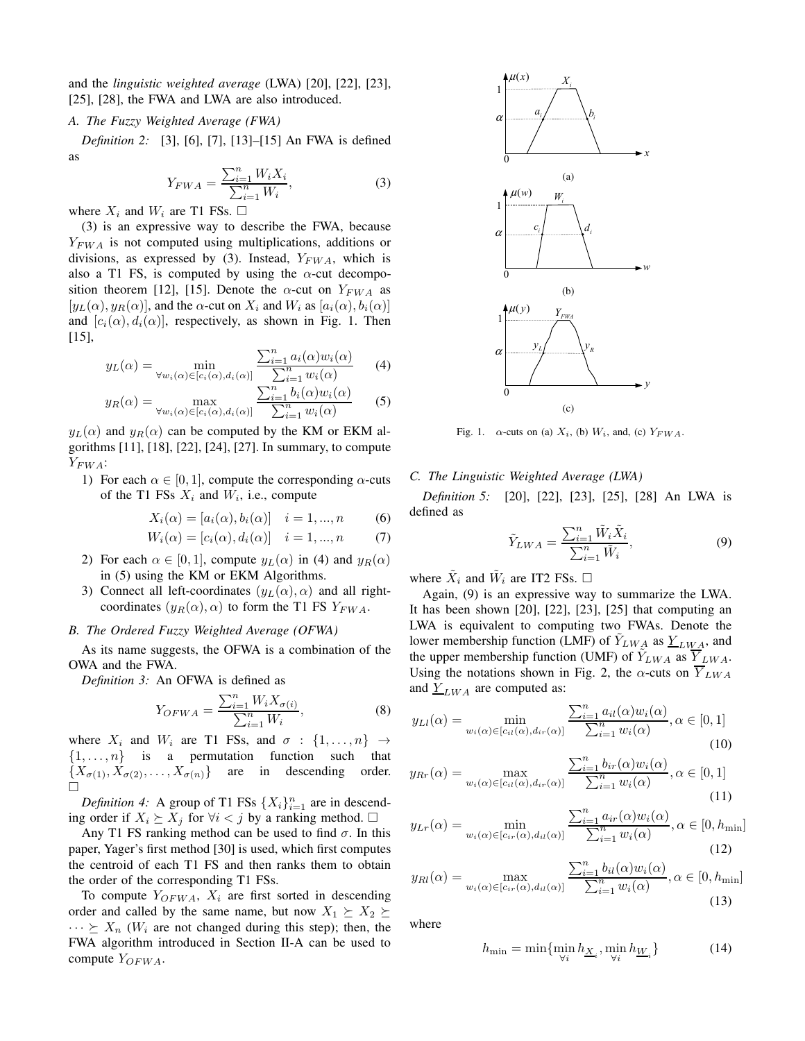and the *linguistic weighted average* (LWA) [20], [22], [23], [25], [28], the FWA and LWA are also introduced.

#### *A. The Fuzzy Weighted Average (FWA)*

*Definition 2:* [3], [6], [7], [13]–[15] An FWA is defined as

$$
Y_{FWA} = \frac{\sum_{i=1}^{n} W_i X_i}{\sum_{i=1}^{n} W_i},
$$
\n(3)

where  $X_i$  and  $W_i$  are T1 FSs.  $\Box$ 

(3) is an expressive way to describe the FWA, because  $Y_{FWA}$  is not computed using multiplications, additions or divisions, as expressed by (3). Instead,  $Y_{FWA}$ , which is also a T1 FS, is computed by using the  $\alpha$ -cut decomposition theorem [12], [15]. Denote the  $\alpha$ -cut on  $Y_{FWA}$  as  $[y_L(\alpha), y_R(\alpha)]$ , and the  $\alpha$ -cut on  $X_i$  and  $W_i$  as  $[a_i(\alpha), b_i(\alpha)]$ and  $[c_i(\alpha), d_i(\alpha)]$ , respectively, as shown in Fig. 1. Then [15],

$$
y_L(\alpha) = \min_{\forall w_i(\alpha) \in [c_i(\alpha), d_i(\alpha)]} \frac{\sum_{i=1}^n a_i(\alpha) w_i(\alpha)}{\sum_{i=1}^n w_i(\alpha)} \tag{4}
$$

$$
y_R(\alpha) = \max_{\forall w_i(\alpha) \in [c_i(\alpha), d_i(\alpha)]} \frac{\sum_{i=1}^n b_i(\alpha) w_i(\alpha)}{\sum_{i=1}^n w_i(\alpha)} \qquad (5)
$$

 $y_L(\alpha)$  and  $y_R(\alpha)$  can be computed by the KM or EKM algorithms [11], [18], [22], [24], [27]. In summary, to compute  $Y_{FWA}$ :

1) For each  $\alpha \in [0, 1]$ , compute the corresponding  $\alpha$ -cuts of the T1 FSs  $X_i$  and  $W_i$ , i.e., compute

$$
X_i(\alpha) = [a_i(\alpha), b_i(\alpha)] \quad i = 1, ..., n \tag{6}
$$

$$
W_i(\alpha) = [c_i(\alpha), d_i(\alpha)] \quad i = 1, ..., n \tag{7}
$$

- 2) For each  $\alpha \in [0, 1]$ , compute  $y_L(\alpha)$  in (4) and  $y_R(\alpha)$ in (5) using the KM or EKM Algorithms.
- 3) Connect all left-coordinates  $(y_L(\alpha), \alpha)$  and all rightcoordinates  $(y_R(\alpha), \alpha)$  to form the T1 FS  $Y_{FWA}$ .

# *B. The Ordered Fuzzy Weighted Average (OFWA)*

As its name suggests, the OFWA is a combination of the OWA and the FWA.

*Definition 3:* An OFWA is defined as

$$
Y_{OFWA} = \frac{\sum_{i=1}^{n} W_{i} X_{\sigma(i)}}{\sum_{i=1}^{n} W_{i}},
$$
\n(8)

where  $X_i$  and  $W_i$  are T1 FSs, and  $\sigma : \{1, \ldots, n\} \rightarrow$  $\{1, \ldots, n\}$  is a permutation function such that  ${X_{\sigma(1)}, X_{\sigma(2)}, \ldots, X_{\sigma(n)}}$  are in descending order. □

*Definition 4:* A group of T1 FSs  $\{X_i\}_{i=1}^n$  are in descending order if  $X_i$   $\geq X_j$  for  $\forall i < j$  by a ranking method. □

Any T1 FS ranking method can be used to find  $\sigma$ . In this paper, Yager's first method [30] is used, which first computes the centroid of each T1 FS and then ranks them to obtain the order of the corresponding T1 FSs.

To compute  $Y_{OFWA}$ ,  $X_i$  are first sorted in descending order and called by the same name, but now  $X_1 \succeq X_2 \succeq$  $\cdots \succeq X_n$  (W<sub>i</sub> are not changed during this step); then, the FWA algorithm introduced in Section II-A can be used to compute  $Y_{OFWA}$ .



Fig. 1.  $\alpha$ -cuts on (a)  $X_i$ , (b)  $W_i$ , and, (c)  $Y_{FWA}$ .

# *C. The Linguistic Weighted Average (LWA)*

*Definition 5:* [20], [22], [23], [25], [28] An LWA is defined as

$$
\tilde{Y}_{LWA} = \frac{\sum_{i=1}^{n} \tilde{W}_i \tilde{X}_i}{\sum_{i=1}^{n} \tilde{W}_i},\tag{9}
$$

where  $\tilde{X}_i$  and  $\tilde{W}_i$  are IT2 FSs.  $\Box$ 

Again, (9) is an expressive way to summarize the LWA. It has been shown [20], [22], [23], [25] that computing an LWA is equivalent to computing two FWAs. Denote the lower membership function (LMF) of  $Y_{LWA}$  as  $Y_{LWA}$ , and the upper membership function (UMF) of  $\tilde{Y}_{LWA}$  as  $\overline{Y}_{LWA}$ . Using the notations shown in Fig. 2, the  $\alpha$ -cuts on  $Y_{LWA}$ and  $Y_{LWA}$  are computed as:

$$
y_{Ll}(\alpha) = \min_{w_i(\alpha) \in [c_{il}(\alpha), d_{ir}(\alpha)]} \frac{\sum_{i=1}^n a_{il}(\alpha) w_i(\alpha)}{\sum_{i=1}^n w_i(\alpha)}, \alpha \in [0, 1]
$$
\n(10)

$$
y_{Rr}(\alpha) = \max_{w_i(\alpha) \in [c_{ii}(\alpha), d_{ir}(\alpha)]} \frac{\sum_{i=1}^n b_{ir}(\alpha) w_i(\alpha)}{\sum_{i=1}^n w_i(\alpha)}, \alpha \in [0, 1]
$$
\n(11)

$$
y_{Lr}(\alpha) = \min_{w_i(\alpha) \in [c_{ir}(\alpha), d_{il}(\alpha)]} \frac{\sum_{i=1}^n a_{ir}(\alpha) w_i(\alpha)}{\sum_{i=1}^n w_i(\alpha)}, \alpha \in [0, h_{\min}]
$$
\n(12)

$$
y_{Rl}(\alpha) = \max_{w_i(\alpha) \in [c_{ir}(\alpha), d_{il}(\alpha)]} \frac{\sum_{i=1}^n b_{il}(\alpha) w_i(\alpha)}{\sum_{i=1}^n w_i(\alpha)}, \alpha \in [0, h_{\min}]
$$
\n(13)

where

$$
h_{\min} = \min\{\min_{\forall i} h_{\underline{X}_i}, \min_{\forall i} h_{\underline{W}_i}\}\tag{14}
$$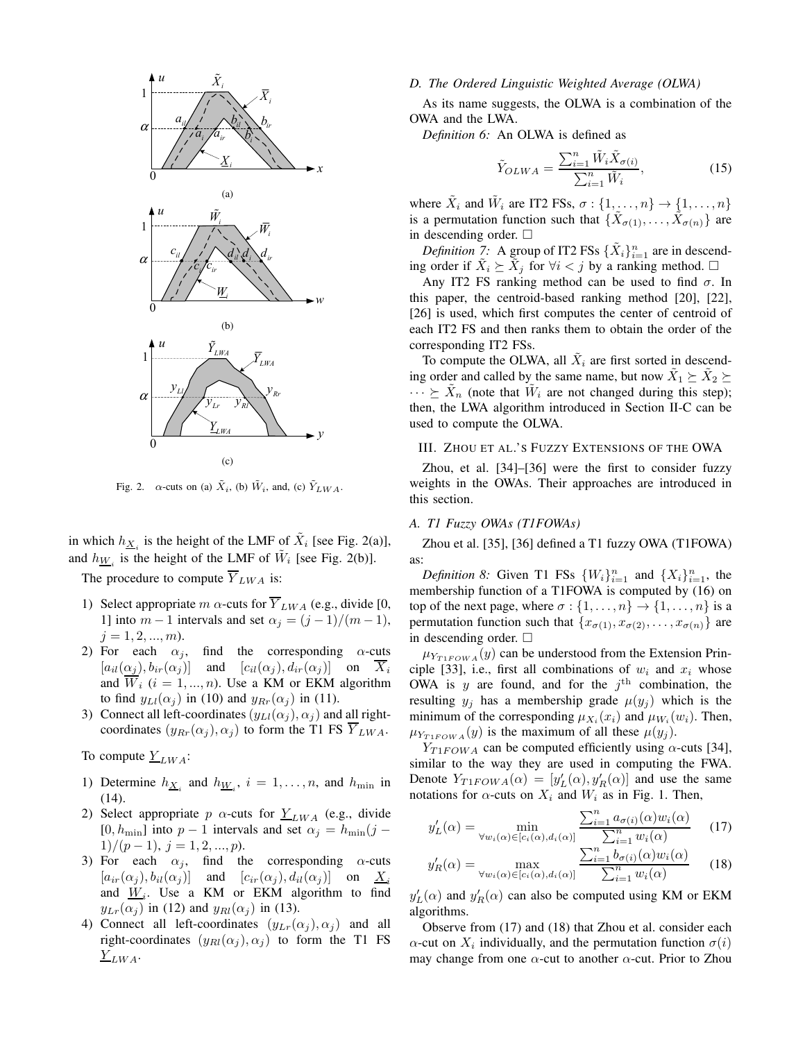

Fig. 2.  $\alpha$ -cuts on (a)  $\tilde{X}_i$ , (b)  $\tilde{W}_i$ , and, (c)  $\tilde{Y}_{LWA}$ .

in which  $h_{\underline{X}_i}$  is the height of the LMF of  $\tilde{X}_i$  [see Fig. 2(a)], and  $h_{\underline{W}_i}$  is the height of the LMF of  $\tilde{W}_i$  [see Fig. 2(b)].

The procedure to compute  $\overline{Y}_{LWA}$  is:

- 1) Select appropriate m  $\alpha$ -cuts for  $\overline{Y}_{LWA}$  (e.g., divide [0, 1] into  $m-1$  intervals and set  $\alpha_j = (j-1)/(m-1)$ ,  $j = 1, 2, ..., m$ .
- 2) For each  $\alpha_i$ , find the corresponding  $\alpha$ -cuts  $[a_{il}(\alpha_j), b_{ir}(\alpha_j)]$  and  $[c_{il}(\alpha_j), d_{ir}(\alpha_j)]$  on  $\overline{X}_i$ and  $\overline{W}_i$  (i = 1, ..., n). Use a KM or EKM algorithm to find  $y_{Ll}(\alpha_j)$  in (10) and  $y_{Rr}(\alpha_j)$  in (11).
- 3) Connect all left-coordinates  $(y_{Ll}(\alpha_j), \alpha_j)$  and all rightcoordinates  $(y_{Rr}(\alpha_j), \alpha_j)$  to form the T1 FS  $\overline{Y}_{LWA}$ .

To compute  $Y_{LWA}$ :

- 1) Determine  $h_{\underline{X}_i}$  and  $h_{\underline{W}_i}$ ,  $i = 1, \ldots, n$ , and  $h_{\text{min}}$  in (14).
- 2) Select appropriate p  $\alpha$ -cuts for  $Y_{LWA}$  (e.g., divide [0,  $h_{\text{min}}$ ] into  $p - 1$  intervals and set  $\alpha_j = h_{\text{min}}(j - 1)$  $1)/(p-1), j=1,2,...,p).$
- 3) For each  $\alpha_j$ , find the corresponding  $\alpha$ -cuts  $[a_{ir}(\alpha_i), b_{il}(\alpha_j)]$  and  $[c_{ir}(\alpha_i), d_{il}(\alpha_j)]$  on  $\underline{X}_i$ and  $\underline{W}_i$ . Use a KM or EKM algorithm to find  $y_{Lr}(\alpha_j)$  in (12) and  $y_{Rl}(\alpha_j)$  in (13).
- 4) Connect all left-coordinates  $(y_{Lr}(\alpha_i), \alpha_i)$  and all right-coordinates  $(y_{Rl}(\alpha_i), \alpha_i)$  to form the T1 FS  $Y_{LWA}$ .

### *D. The Ordered Linguistic Weighted Average (OLWA)*

As its name suggests, the OLWA is a combination of the OWA and the LWA.

*Definition 6:* An OLWA is defined as

$$
\tilde{Y}_{OLWA} = \frac{\sum_{i=1}^{n} \tilde{W}_i \tilde{X}_{\sigma(i)}}{\sum_{i=1}^{n} \tilde{W}_i},\tag{15}
$$

where  $\tilde{X}_i$  and  $\tilde{W}_i$  are IT2 FSs,  $\sigma : \{1, \ldots, n\} \to \{1, \ldots, n\}$ is a permutation function such that  $\{\tilde{X}_{\sigma(1)},\ldots,\tilde{X}_{\sigma(n)}\}$  are in descending order.  $\square$ 

*Definition* 7: A group of IT2 FSs  $\{\tilde{X}_i\}_{i=1}^n$  are in descending order if  $\tilde{X}_i \succeq \tilde{X}_j$  for  $\forall i < j$  by a ranking method.  $\square$ 

Any IT2 FS ranking method can be used to find  $\sigma$ . In this paper, the centroid-based ranking method [20], [22], [26] is used, which first computes the center of centroid of each IT2 FS and then ranks them to obtain the order of the corresponding IT2 FSs.

To compute the OLWA, all  $\tilde{X}_i$  are first sorted in descending order and called by the same name, but now  $\tilde{X}_1 \succeq \tilde{X}_2 \succeq$  $\cdots \geq \tilde{X}_n$  (note that  $\tilde{W}_i$  are not changed during this step); then, the LWA algorithm introduced in Section II-C can be used to compute the OLWA.

# III. ZHOU ET AL.'S FUZZY EXTENSIONS OF THE OWA

Zhou, et al. [34]–[36] were the first to consider fuzzy weights in the OWAs. Their approaches are introduced in this section.

#### *A. T1 Fuzzy OWAs (T1FOWAs)*

Zhou et al. [35], [36] defined a T1 fuzzy OWA (T1FOWA) as:

*Definition 8:* Given T1 FSs  $\{W_i\}_{i=1}^n$  and  $\{X_i\}_{i=1}^n$ , the membership function of a T1FOWA is computed by (16) on top of the next page, where  $\sigma : \{1, \ldots, n\} \to \{1, \ldots, n\}$  is a permutation function such that  $\{x_{\sigma(1)}, x_{\sigma(2)}, \ldots, x_{\sigma(n)}\}$  are in descending order.  $\square$ 

 $\mu_{Y_{T1FOWA}}(y)$  can be understood from the Extension Principle [33], i.e., first all combinations of  $w_i$  and  $x_i$  whose OWA is y are found, and for the  $j<sup>th</sup>$  combination, the resulting  $y_j$  has a membership grade  $\mu(y_j)$  which is the minimum of the corresponding  $\mu_{X_i}(x_i)$  and  $\mu_{W_i}(w_i)$ . Then,  $\mu_{Y_{T1FOWA}}(y)$  is the maximum of all these  $\mu(y_i)$ .

 $Y_{T1FOWA}$  can be computed efficiently using  $\alpha$ -cuts [34], similar to the way they are used in computing the FWA. Denote  $Y_{T1FOWA}(\alpha) = [y'_L(\alpha), y'_R(\alpha)]$  and use the same notations for  $\alpha$ -cuts on  $X_i$  and  $W_i$  as in Fig. 1. Then,

$$
y_L'(\alpha) = \min_{\forall w_i(\alpha) \in [c_i(\alpha), d_i(\alpha)]} \frac{\sum_{i=1}^n a_{\sigma(i)}(\alpha) w_i(\alpha)}{\sum_{i=1}^n w_i(\alpha)} \qquad (17)
$$

$$
y_R'(\alpha) = \max_{\forall w_i(\alpha) \in [c_i(\alpha), d_i(\alpha)]} \frac{\sum_{i=1}^n b_{\sigma(i)}(\alpha) w_i(\alpha)}{\sum_{i=1}^n w_i(\alpha)} \qquad (18)
$$

 $y'_L(\alpha)$  and  $y'_R(\alpha)$  can also be computed using KM or EKM algorithms.

Observe from (17) and (18) that Zhou et al. consider each  $\alpha$ -cut on  $X_i$  individually, and the permutation function  $\sigma(i)$ may change from one  $\alpha$ -cut to another  $\alpha$ -cut. Prior to Zhou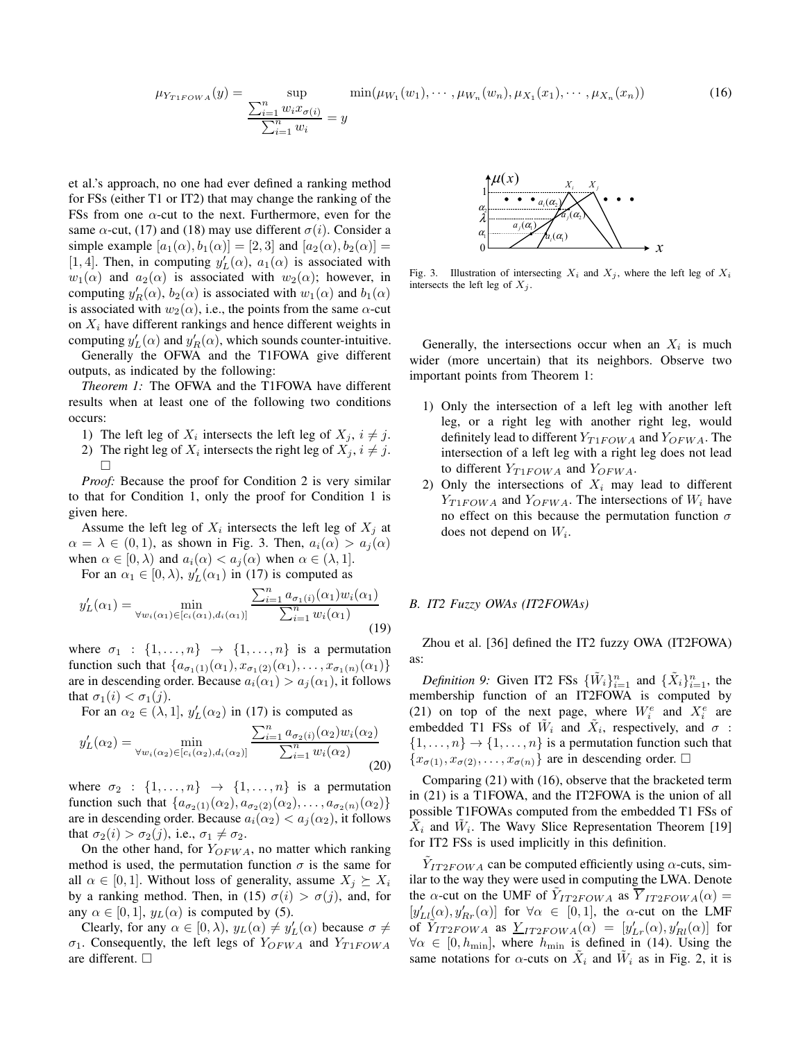$$
\mu_{Y_{T1FOWA}}(y) = \sup_{\substack{\sum_{i=1}^{n} w_i x_{\sigma(i)}}{n}} \min(\mu_{W_1}(w_1), \cdots, \mu_{W_n}(w_n), \mu_{X_1}(x_1), \cdots, \mu_{X_n}(x_n))
$$
(16)

et al.'s approach, no one had ever defined a ranking method for FSs (either T1 or IT2) that may change the ranking of the FSs from one  $\alpha$ -cut to the next. Furthermore, even for the same  $\alpha$ -cut, (17) and (18) may use different  $\sigma(i)$ . Consider a simple example  $[a_1(\alpha), b_1(\alpha)] = [2, 3]$  and  $[a_2(\alpha), b_2(\alpha)] =$ [1, 4]. Then, in computing  $y'_L(\alpha)$ ,  $a_1(\alpha)$  is associated with  $w_1(\alpha)$  and  $a_2(\alpha)$  is associated with  $w_2(\alpha)$ ; however, in computing  $y'_R(\alpha)$ ,  $b_2(\alpha)$  is associated with  $w_1(\alpha)$  and  $b_1(\alpha)$ is associated with  $w_2(\alpha)$ , i.e., the points from the same  $\alpha$ -cut on  $X_i$  have different rankings and hence different weights in computing  $y_L'(\alpha)$  and  $y_R'(\alpha)$ , which sounds counter-intuitive.

Generally the OFWA and the T1FOWA give different outputs, as indicated by the following:

*Theorem 1:* The OFWA and the T1FOWA have different results when at least one of the following two conditions occurs:

- 1) The left leg of  $X_i$  intersects the left leg of  $X_j$ ,  $i \neq j$ .
- 2) The right leg of  $X_i$  intersects the right leg of  $X_j$ ,  $i \neq j$ .  $\Box$

*Proof:* Because the proof for Condition 2 is very similar to that for Condition 1, only the proof for Condition 1 is given here.

Assume the left leg of  $X_i$  intersects the left leg of  $X_j$  at  $\alpha = \lambda \in (0, 1)$ , as shown in Fig. 3. Then,  $a_i(\alpha) > a_i(\alpha)$ when  $\alpha \in [0, \lambda)$  and  $a_i(\alpha) < a_i(\alpha)$  when  $\alpha \in (\lambda, 1]$ .

For an  $\alpha_1 \in [0, \lambda)$ ,  $y_L'(\alpha_1)$  in (17) is computed as

$$
y_L'(\alpha_1) = \min_{\forall w_i(\alpha_1) \in [c_i(\alpha_1), d_i(\alpha_1)]} \frac{\sum_{i=1}^n a_{\sigma_1(i)}(\alpha_1) w_i(\alpha_1)}{\sum_{i=1}^n w_i(\alpha_1)}
$$
(19)

where  $\sigma_1$  :  $\{1, \ldots, n\}$   $\rightarrow$   $\{1, \ldots, n\}$  is a permutation function such that  $\{a_{\sigma_1(1)}(\alpha_1), x_{\sigma_1(2)}(\alpha_1), \ldots, x_{\sigma_1(n)}(\alpha_1)\}\$ are in descending order. Because  $a_i(\alpha_1) > a_j(\alpha_1)$ , it follows that  $\sigma_1(i) < \sigma_1(j)$ .

For an  $\alpha_2 \in (\lambda, 1], y_L'(\alpha_2)$  in (17) is computed as  $y'_L(\alpha_2) = \min_{\substack{\text{min}\\ \text{min}}}$  $\sum_{i=1}^n a_{\sigma_2(i)}(\alpha_2) w_i(\alpha_2)$ 

$$
y_L(\alpha_2) = \min_{\forall w_i(\alpha_2) \in [c_i(\alpha_2), d_i(\alpha_2)]} \overline{\sum_{i=1}^n w_i(\alpha_2)}
$$
(20)

where  $\sigma_2$  :  $\{1, \ldots, n\}$   $\rightarrow$   $\{1, \ldots, n\}$  is a permutation function such that  $\{a_{\sigma_2(1)}(\alpha_2), a_{\sigma_2(2)}(\alpha_2), \ldots, a_{\sigma_2(n)}(\alpha_2)\}\$ are in descending order. Because  $a_i(\alpha_2) < a_j(\alpha_2)$ , it follows that  $\sigma_2(i) > \sigma_2(j)$ , i.e.,  $\sigma_1 \neq \sigma_2$ .

On the other hand, for  $Y_{OFWA}$ , no matter which ranking method is used, the permutation function  $\sigma$  is the same for all  $\alpha \in [0, 1]$ . Without loss of generality, assume  $X_i \succeq X_i$ by a ranking method. Then, in (15)  $\sigma(i) > \sigma(j)$ , and, for any  $\alpha \in [0, 1]$ ,  $y_L(\alpha)$  is computed by (5).

Clearly, for any  $\alpha \in [0, \lambda)$ ,  $y_L(\alpha) \neq y'_L(\alpha)$  because  $\sigma \neq$  $\sigma_1$ . Consequently, the left legs of  $Y_{OFWA}$  and  $Y_{T1FOWA}$ are different.



Fig. 3. Illustration of intersecting  $X_i$  and  $X_j$ , where the left leg of  $X_i$ intersects the left leg of  $X_i$ .

Generally, the intersections occur when an  $X_i$  is much wider (more uncertain) that its neighbors. Observe two important points from Theorem 1:

- 1) Only the intersection of a left leg with another left leg, or a right leg with another right leg, would definitely lead to different  $Y_{T1FOWA}$  and  $Y_{OFWA}$ . The intersection of a left leg with a right leg does not lead to different  $Y_{T1FOWA}$  and  $Y_{OFWA}$ .
- 2) Only the intersections of  $X_i$  may lead to different  $Y_{T1FOWA}$  and  $Y_{OFWA}$ . The intersections of  $W_i$  have no effect on this because the permutation function  $\sigma$ does not depend on  $W_i$ .

### *B. IT2 Fuzzy OWAs (IT2FOWAs)*

Zhou et al. [36] defined the IT2 fuzzy OWA (IT2FOWA) as:

*Definition 9:* Given IT2 FSs  $\{\tilde{W}_i\}_{i=1}^n$  and  $\{\tilde{X}_i\}_{i=1}^n$ , the membership function of an IT2FOWA is computed by (21) on top of the next page, where  $W_i^e$  and  $X_i^e$  are embedded T1 FSs of  $\tilde{W}_i$  and  $\tilde{X}_i$ , respectively, and  $\sigma$ :  $\{1,\ldots,n\} \rightarrow \{1,\ldots,n\}$  is a permutation function such that  ${x_{\sigma(1)}, x_{\sigma(2)}, \ldots, x_{\sigma(n)}}$  are in descending order.  $\Box$ 

Comparing (21) with (16), observe that the bracketed term in (21) is a T1FOWA, and the IT2FOWA is the union of all possible T1FOWAs computed from the embedded T1 FSs of  $\tilde{X}_i$  and  $\tilde{W}_i$ . The Wavy Slice Representation Theorem [19] for IT2 FSs is used implicitly in this definition.

 $\tilde{Y}_{IT2FOWA}$  can be computed efficiently using  $\alpha$ -cuts, similar to the way they were used in computing the LWA. Denote the  $\alpha$ -cut on the UMF of  $\tilde{Y}_{IT2FOWA}$  as  $\overline{Y}_{IT2FOWA}(\alpha)$  =  $[y'_{Ll}(\alpha), y'_{Rr}(\alpha)]$  for  $\forall \alpha \in [0,1]$ , the  $\alpha$ -cut on the LMF of  $Y_{IT2FOWA}$  as  $Y_{IT2FOWA}(\alpha) = [y'_{Lr}(\alpha), y'_{Rl}(\alpha)]$  for  $\forall \alpha \in [0, h_{\min}]$ , where  $h_{\min}$  is defined in (14). Using the same notations for  $\alpha$ -cuts on  $\tilde{X}_i$  and  $\tilde{W}_i$  as in Fig. 2, it is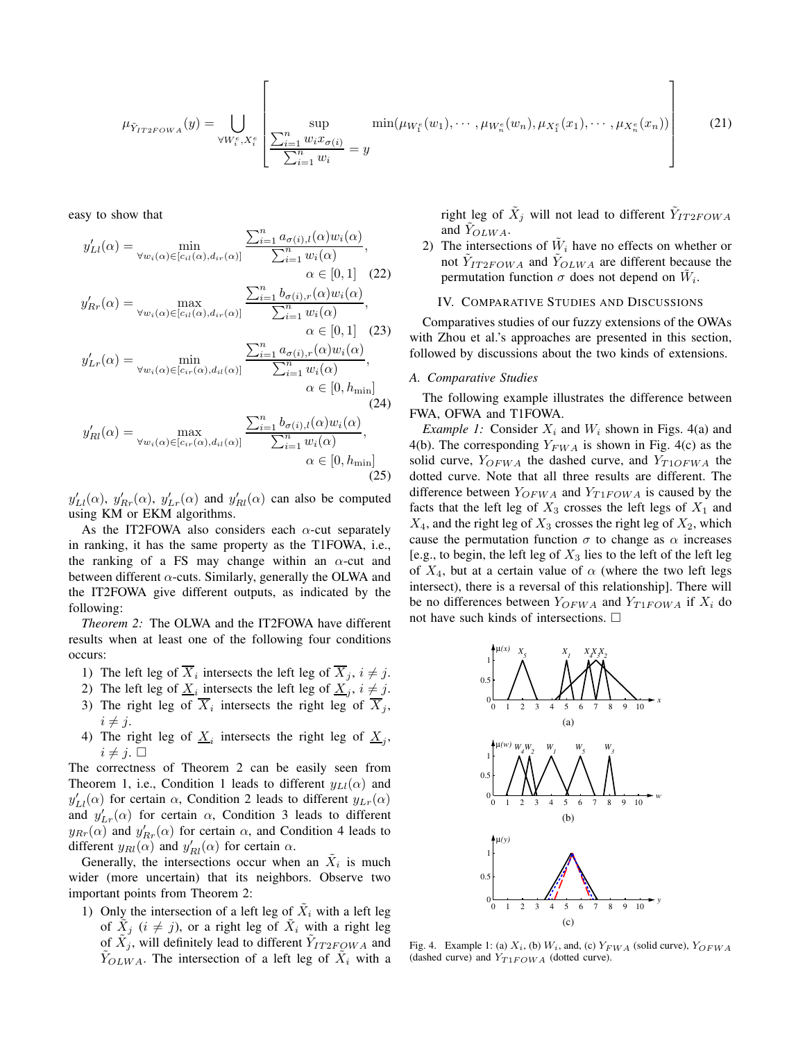$$
\mu_{\tilde{Y}_{IT2FOWA}}(y) = \bigcup_{\forall W_i^e, X_i^e} \left[ \underbrace{\text{sup}}_{\sum_{i=1}^n w_i x_{\sigma(i)}} \min(\mu_{W_1^e}(w_1), \cdots, \mu_{W_n^e}(w_n), \mu_{X_1^e}(x_1), \cdots, \mu_{X_n^e}(x_n)) \right]
$$
(21)

easy to show that

$$
y'_{LI}(\alpha) = \min_{\forall w_i(\alpha) \in [c_{il}(\alpha), d_{ir}(\alpha)]} \frac{\sum_{i=1}^n a_{\sigma(i),l}(\alpha) w_i(\alpha)}{\sum_{i=1}^n w_i(\alpha)},
$$
  
\n
$$
\alpha \in [0, 1] \quad (22)
$$
  
\n
$$
y'_{Rr}(\alpha) = \max_{\forall w_i(\alpha) \in [c_{il}(\alpha), d_{ir}(\alpha)]} \frac{\sum_{i=1}^n b_{\sigma(i),r}(\alpha) w_i(\alpha)}{\sum_{i=1}^n w_i(\alpha)},
$$
  
\n
$$
\alpha \in [0, 1] \quad (23)
$$
  
\n
$$
y'_{Lr}(\alpha) = \min_{\forall w_i(\alpha) \in [c_{ir}(\alpha), d_{il}(\alpha)]} \frac{\sum_{i=1}^n a_{\sigma(i),r}(\alpha) w_i(\alpha)}{\sum_{i=1}^n w_i(\alpha)},
$$
  
\n
$$
\alpha \in [0, h_{\min}] \quad (24)
$$

 $\mathsf{r}$ 

$$
y'_{Rl}(\alpha) = \max_{\forall w_i(\alpha) \in [c_{ir}(\alpha), d_{il}(\alpha)]} \frac{\sum_{i=1}^n b_{\sigma(i),l}(\alpha) w_i(\alpha)}{\sum_{i=1}^n w_i(\alpha)},
$$
  

$$
\alpha \in [0, h_{\min}]
$$
(25)

 $y'_{Ll}(\alpha)$ ,  $y'_{Rr}(\alpha)$ ,  $y'_{Lr}(\alpha)$  and  $y'_{Rl}(\alpha)$  can also be computed using KM or EKM algorithms.

As the IT2FOWA also considers each  $\alpha$ -cut separately in ranking, it has the same property as the T1FOWA, i.e., the ranking of a FS may change within an  $\alpha$ -cut and between different  $\alpha$ -cuts. Similarly, generally the OLWA and the IT2FOWA give different outputs, as indicated by the following:

*Theorem 2:* The OLWA and the IT2FOWA have different results when at least one of the following four conditions occurs:

- 1) The left leg of  $X_i$  intersects the left leg of  $X_j$ ,  $i \neq j$ .
- 2) The left leg of  $\underline{X}_i$  intersects the left leg of  $\underline{X}_j$ ,  $i \neq j$ .
- 3) The right leg of  $X_i$  intersects the right leg of  $X_j$ ,  $i \neq j$ .
- 4) The right leg of  $\underline{X}_i$  intersects the right leg of  $\underline{X}_j$ ,  $i \neq j.$

The correctness of Theorem 2 can be easily seen from Theorem 1, i.e., Condition 1 leads to different  $y_{LL}(\alpha)$  and  $y'_{Ll}(\alpha)$  for certain  $\alpha$ , Condition 2 leads to different  $y_{Lr}(\alpha)$ and  $y'_{Lr}(\alpha)$  for certain  $\alpha$ , Condition 3 leads to different  $y_{Rr}(\alpha)$  and  $y'_{Rr}(\alpha)$  for certain  $\alpha$ , and Condition 4 leads to different  $y_{Rl}(\alpha)$  and  $y'_{Rl}(\alpha)$  for certain  $\alpha$ .

Generally, the intersections occur when an  $\tilde{X}_i$  is much wider (more uncertain) that its neighbors. Observe two important points from Theorem 2:

1) Only the intersection of a left leg of  $\tilde{X}_i$  with a left leg of  $\tilde{X}_j$  ( $i \neq j$ ), or a right leg of  $\tilde{X}_i$  with a right leg of  $\tilde{X}_j$ , will definitely lead to different  $\tilde{Y}_{IT2FOWA}$  and  $\tilde{Y}_{OLWA}$ . The intersection of a left leg of  $\tilde{X}_i$  with a

right leg of  $\tilde{X}_j$  will not lead to different  $\tilde{Y}_{IT2FOWA}$ and  $\tilde{Y}_{OLWA}$ .

2) The intersections of  $\tilde{W}_i$  have no effects on whether or not  $\tilde{Y}_{IT2FOWA}$  and  $\tilde{Y}_{OLWA}$  are different because the permutation function  $\sigma$  does not depend on  $\tilde{W}_i$ .

# IV. COMPARATIVE STUDIES AND DISCUSSIONS

Comparatives studies of our fuzzy extensions of the OWAs with Zhou et al.'s approaches are presented in this section, followed by discussions about the two kinds of extensions.

#### *A. Comparative Studies*

The following example illustrates the difference between FWA, OFWA and T1FOWA.

*Example 1:* Consider  $X_i$  and  $W_i$  shown in Figs. 4(a) and 4(b). The corresponding  $Y_{FWA}$  is shown in Fig. 4(c) as the solid curve,  $Y_{OFWA}$  the dashed curve, and  $Y_{T1OFWA}$  the dotted curve. Note that all three results are different. The difference between  $Y_{OFWA}$  and  $Y_{T1FOWA}$  is caused by the facts that the left leg of  $X_3$  crosses the left legs of  $X_1$  and  $X_4$ , and the right leg of  $X_3$  crosses the right leg of  $X_2$ , which cause the permutation function  $\sigma$  to change as  $\alpha$  increases [e.g., to begin, the left leg of  $X_3$  lies to the left of the left leg of  $X_4$ , but at a certain value of  $\alpha$  (where the two left legs intersect), there is a reversal of this relationship]. There will be no differences between  $Y_{OFWA}$  and  $Y_{T1FOWA}$  if  $X_i$  do not have such kinds of intersections.



Fig. 4. Example 1: (a)  $X_i$ , (b)  $W_i$ , and, (c)  $Y_{FWA}$  (solid curve),  $Y_{OFWA}$ (dashed curve) and  $Y_{T1FOWA}$  (dotted curve).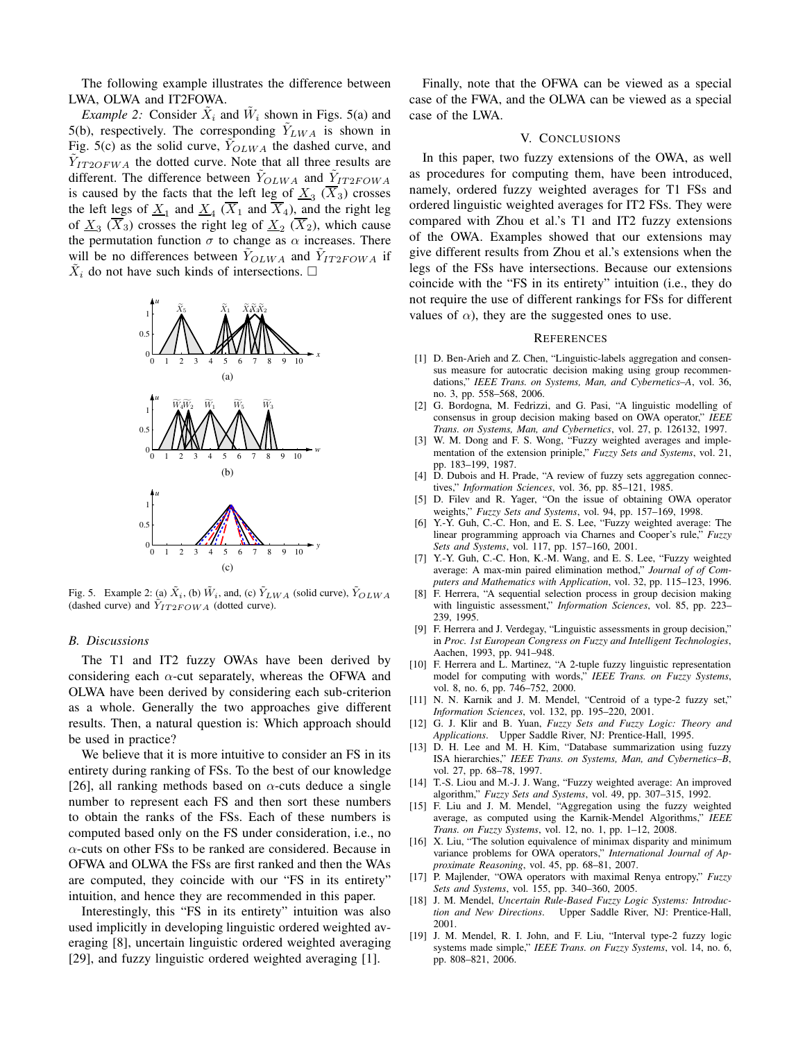The following example illustrates the difference between LWA, OLWA and IT2FOWA.

*Example 2:* Consider  $\tilde{X}_i$  and  $\tilde{W}_i$  shown in Figs. 5(a) and 5(b), respectively. The corresponding  $\tilde{Y}_{LWA}$  is shown in Fig. 5(c) as the solid curve,  $Y_{OLWA}$  the dashed curve, and  $\tilde{Y}_{IT2OFWA}$  the dotted curve. Note that all three results are different. The difference between  $\tilde{Y}_{OLWA}$  and  $\tilde{Y}_{IT2FOWA}$ is caused by the facts that the left leg of  $\underline{X}_3$  ( $X_3$ ) crosses the left <u>le</u>gs of  $\underline{X}_1$  and  $\underline{X}_4$  ( $X_1$  and  $X_4$ ), and the right leg of  $\underline{X}_3$  ( $X_3$ ) crosses the right leg of  $\underline{X}_2$  ( $X_2$ ), which cause the permutation function  $\sigma$  to change as  $\alpha$  increases. There will be no differences between  $\tilde{Y}_{OLWA}$  and  $\tilde{Y}_{IT2FOWA}$  if  $\tilde{X}_i$  do not have such kinds of intersections.  $\Box$ 



Fig. 5. Example 2: (a)  $\tilde{X}_i$ , (b)  $\tilde{W}_i$ , and, (c)  $\tilde{Y}_{LWA}$  (solid curve),  $\tilde{Y}_{OLWA}$ (dashed curve) and  $Y_{IT2FOWA}$  (dotted curve).

### *B. Discussions*

The T1 and IT2 fuzzy OWAs have been derived by considering each  $\alpha$ -cut separately, whereas the OFWA and OLWA have been derived by considering each sub-criterion as a whole. Generally the two approaches give different results. Then, a natural question is: Which approach should be used in practice?

We believe that it is more intuitive to consider an FS in its entirety during ranking of FSs. To the best of our knowledge [26], all ranking methods based on  $\alpha$ -cuts deduce a single number to represent each FS and then sort these numbers to obtain the ranks of the FSs. Each of these numbers is computed based only on the FS under consideration, i.e., no  $\alpha$ -cuts on other FSs to be ranked are considered. Because in OFWA and OLWA the FSs are first ranked and then the WAs are computed, they coincide with our "FS in its entirety" intuition, and hence they are recommended in this paper.

Interestingly, this "FS in its entirety" intuition was also used implicitly in developing linguistic ordered weighted averaging [8], uncertain linguistic ordered weighted averaging [29], and fuzzy linguistic ordered weighted averaging [1].

Finally, note that the OFWA can be viewed as a special case of the FWA, and the OLWA can be viewed as a special case of the LWA.

# V. CONCLUSIONS

In this paper, two fuzzy extensions of the OWA, as well as procedures for computing them, have been introduced, namely, ordered fuzzy weighted averages for T1 FSs and ordered linguistic weighted averages for IT2 FSs. They were compared with Zhou et al.'s T1 and IT2 fuzzy extensions of the OWA. Examples showed that our extensions may give different results from Zhou et al.'s extensions when the legs of the FSs have intersections. Because our extensions coincide with the "FS in its entirety" intuition (i.e., they do not require the use of different rankings for FSs for different values of  $\alpha$ ), they are the suggested ones to use.

#### **REFERENCES**

- [1] D. Ben-Arieh and Z. Chen, "Linguistic-labels aggregation and consensus measure for autocratic decision making using group recommendations," *IEEE Trans. on Systems, Man, and Cybernetics–A*, vol. 36, no. 3, pp. 558–568, 2006.
- [2] G. Bordogna, M. Fedrizzi, and G. Pasi, "A linguistic modelling of consensus in group decision making based on OWA operator," *IEEE Trans. on Systems, Man, and Cybernetics*, vol. 27, p. 126132, 1997.
- [3] W. M. Dong and F. S. Wong, "Fuzzy weighted averages and implementation of the extension priniple," *Fuzzy Sets and Systems*, vol. 21, pp. 183–199, 1987.
- [4] D. Dubois and H. Prade, "A review of fuzzy sets aggregation connectives," *Information Sciences*, vol. 36, pp. 85–121, 1985.
- [5] D. Filev and R. Yager, "On the issue of obtaining OWA operator weights," *Fuzzy Sets and Systems*, vol. 94, pp. 157–169, 1998.
- [6] Y.-Y. Guh, C.-C. Hon, and E. S. Lee, "Fuzzy weighted average: The linear programming approach via Charnes and Cooper's rule," *Fuzzy Sets and Systems*, vol. 117, pp. 157–160, 2001.
- [7] Y.-Y. Guh, C.-C. Hon, K.-M. Wang, and E. S. Lee, "Fuzzy weighted average: A max-min paired elimination method," *Journal of of Computers and Mathematics with Application*, vol. 32, pp. 115–123, 1996.
- [8] F. Herrera, "A sequential selection process in group decision making with linguistic assessment," *Information Sciences*, vol. 85, pp. 223– 239, 1995.
- [9] F. Herrera and J. Verdegay, "Linguistic assessments in group decision," in *Proc. 1st European Congress on Fuzzy and Intelligent Technologies*, Aachen, 1993, pp. 941–948.
- [10] F. Herrera and L. Martinez, "A 2-tuple fuzzy linguistic representation model for computing with words," *IEEE Trans. on Fuzzy Systems*, vol. 8, no. 6, pp. 746–752, 2000.
- [11] N. N. Karnik and J. M. Mendel, "Centroid of a type-2 fuzzy set," *Information Sciences*, vol. 132, pp. 195–220, 2001.
- [12] G. J. Klir and B. Yuan, *Fuzzy Sets and Fuzzy Logic: Theory and Applications*. Upper Saddle River, NJ: Prentice-Hall, 1995.
- [13] D. H. Lee and M. H. Kim, "Database summarization using fuzzy ISA hierarchies," *IEEE Trans. on Systems, Man, and Cybernetics–B*, vol. 27, pp. 68–78, 1997.
- [14] T.-S. Liou and M.-J. J. Wang, "Fuzzy weighted average: An improved algorithm," *Fuzzy Sets and Systems*, vol. 49, pp. 307–315, 1992.
- [15] F. Liu and J. M. Mendel, "Aggregation using the fuzzy weighted average, as computed using the Karnik-Mendel Algorithms," *IEEE Trans. on Fuzzy Systems*, vol. 12, no. 1, pp. 1–12, 2008.
- [16] X. Liu, "The solution equivalence of minimax disparity and minimum variance problems for OWA operators," *International Journal of Approximate Reasoning*, vol. 45, pp. 68–81, 2007.
- [17] P. Majlender, "OWA operators with maximal Renya entropy," *Fuzzy Sets and Systems*, vol. 155, pp. 340–360, 2005.
- [18] J. M. Mendel, *Uncertain Rule-Based Fuzzy Logic Systems: Introduction and New Directions*. Upper Saddle River, NJ: Prentice-Hall, 2001.
- [19] J. M. Mendel, R. I. John, and F. Liu, "Interval type-2 fuzzy logic systems made simple," *IEEE Trans. on Fuzzy Systems*, vol. 14, no. 6, pp. 808–821, 2006.